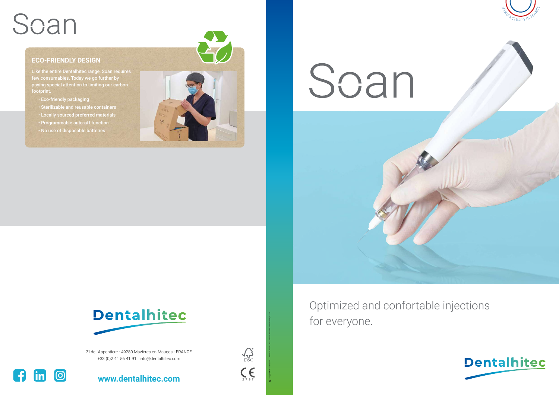Optimized and confortable injections for everyone.



## **Dentalhitec**

Photos : DHT - Non-contractual document and photos

ZI de l'Appentière · 49280 Mazières-en-Mauges · FRANCE +33 (0)2 41 56 41 91 · info@dentalhitec.com







## Soan



#### **ECO-FRIENDLY DESIGN**

Like the entire Dentalhitec range, Soan requires few consumables. Today we go further by paying special attention to limiting our carbon footprint.

- Eco-friendly packaging
- Sterilizable and reusable containers
- Locally sourced preferred materials
- Programmable auto-off function
- No use of disposable batteries